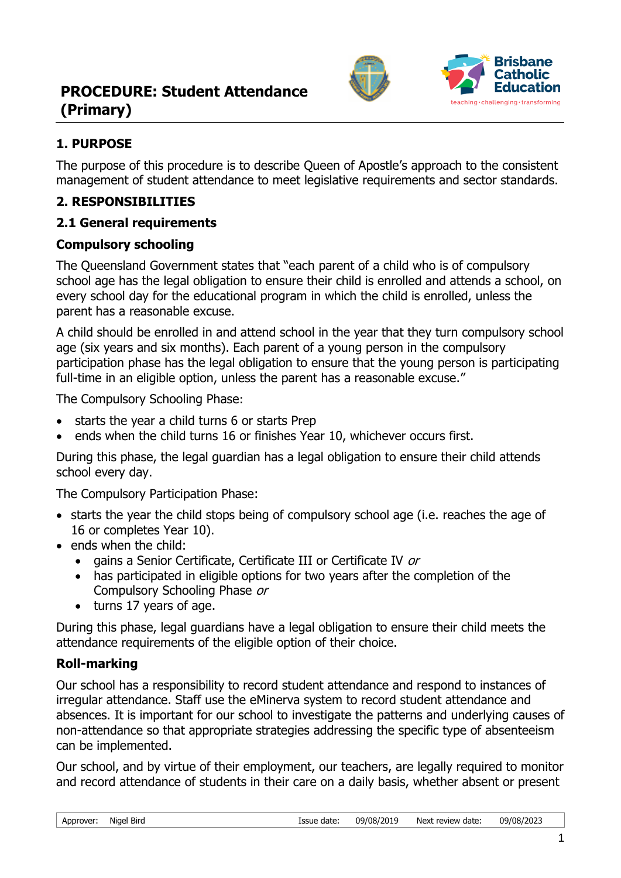



## **1. PURPOSE**

The purpose of this procedure is to describe Queen of Apostle's approach to the consistent management of student attendance to meet legislative requirements and sector standards.

## **2. RESPONSIBILITIES**

## **2.1 General requirements**

## **Compulsory schooling**

The Queensland Government states that "each parent of a child who is of compulsory school age has the legal obligation to ensure their child is enrolled and attends a school, on every school day for the educational program in which the child is enrolled, unless the parent has a reasonable excuse.

A child should be enrolled in and attend school in the year that they turn compulsory school age (six years and six months). Each parent of a young person in the compulsory participation phase has the legal obligation to ensure that the young person is participating full-time in an eligible option, unless the parent has a reasonable excuse."

The Compulsory Schooling Phase:

- starts the year a child turns 6 or starts Prep
- ends when the child turns 16 or finishes Year 10, whichever occurs first.

During this phase, the legal guardian has a legal obligation to ensure their child attends school every day.

The Compulsory Participation Phase:

- starts the year the child stops being of compulsory school age (i.e. reaches the age of 16 or completes Year 10).
- ends when the child:
	- gains a Senior Certificate, Certificate III or Certificate IV or
	- has participated in eligible options for two years after the completion of the Compulsory Schooling Phase or
	- turns 17 years of age.

During this phase, legal guardians have a legal obligation to ensure their child meets the attendance requirements of the eligible option of their choice.

## **Roll-marking**

Our school has a responsibility to record student attendance and respond to instances of irregular attendance. Staff use the eMinerva system to record student attendance and absences. It is important for our school to investigate the patterns and underlying causes of non-attendance so that appropriate strategies addressing the specific type of absenteeism can be implemented.

Our school, and by virtue of their employment, our teachers, are legally required to monitor and record attendance of students in their care on a daily basis, whether absent or present

| Approver: | Nigel Bird |  |
|-----------|------------|--|
|           |            |  |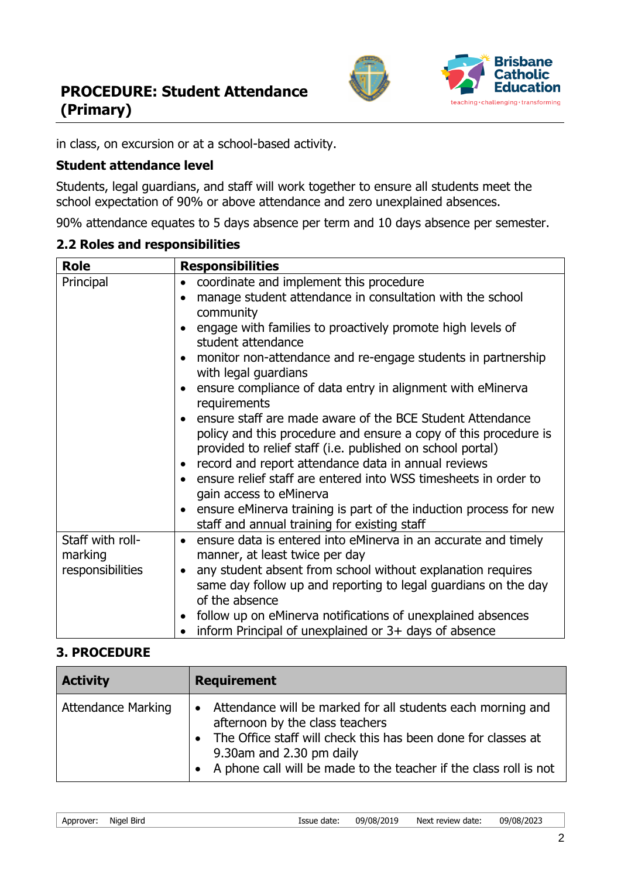



in class, on excursion or at a school-based activity.

### **Student attendance level**

Students, legal guardians, and staff will work together to ensure all students meet the school expectation of 90% or above attendance and zero unexplained absences.

90% attendance equates to 5 days absence per term and 10 days absence per semester.

#### **2.2 Roles and responsibilities**

| <b>Role</b>                 | <b>Responsibilities</b>                                                                                                                                                                                                                  |
|-----------------------------|------------------------------------------------------------------------------------------------------------------------------------------------------------------------------------------------------------------------------------------|
| Principal                   | coordinate and implement this procedure<br>$\bullet$                                                                                                                                                                                     |
|                             | manage student attendance in consultation with the school<br>$\bullet$                                                                                                                                                                   |
|                             | community                                                                                                                                                                                                                                |
|                             | engage with families to proactively promote high levels of<br>$\bullet$<br>student attendance                                                                                                                                            |
|                             | monitor non-attendance and re-engage students in partnership<br>with legal guardians                                                                                                                                                     |
|                             | ensure compliance of data entry in alignment with eMinerva<br>$\bullet$<br>requirements                                                                                                                                                  |
|                             | ensure staff are made aware of the BCE Student Attendance<br>$\bullet$<br>policy and this procedure and ensure a copy of this procedure is<br>provided to relief staff (i.e. published on school portal)                                 |
|                             | record and report attendance data in annual reviews<br>$\bullet$                                                                                                                                                                         |
|                             | ensure relief staff are entered into WSS timesheets in order to<br>$\bullet$<br>gain access to eMinerva                                                                                                                                  |
|                             | ensure eMinerva training is part of the induction process for new<br>$\bullet$<br>staff and annual training for existing staff                                                                                                           |
| Staff with roll-<br>marking | ensure data is entered into eMinerva in an accurate and timely<br>$\bullet$<br>manner, at least twice per day                                                                                                                            |
| responsibilities            | any student absent from school without explanation requires<br>$\bullet$<br>same day follow up and reporting to legal guardians on the day<br>of the absence<br>follow up on eMinerva notifications of unexplained absences<br>$\bullet$ |
|                             | inform Principal of unexplained or 3+ days of absence                                                                                                                                                                                    |

### **3. PROCEDURE**

| <b>Activity</b>           | <b>Requirement</b>                                                                                                                                                                                                                                                   |
|---------------------------|----------------------------------------------------------------------------------------------------------------------------------------------------------------------------------------------------------------------------------------------------------------------|
| <b>Attendance Marking</b> | Attendance will be marked for all students each morning and<br>afternoon by the class teachers<br>• The Office staff will check this has been done for classes at<br>9.30am and 2.30 pm daily<br>• A phone call will be made to the teacher if the class roll is not |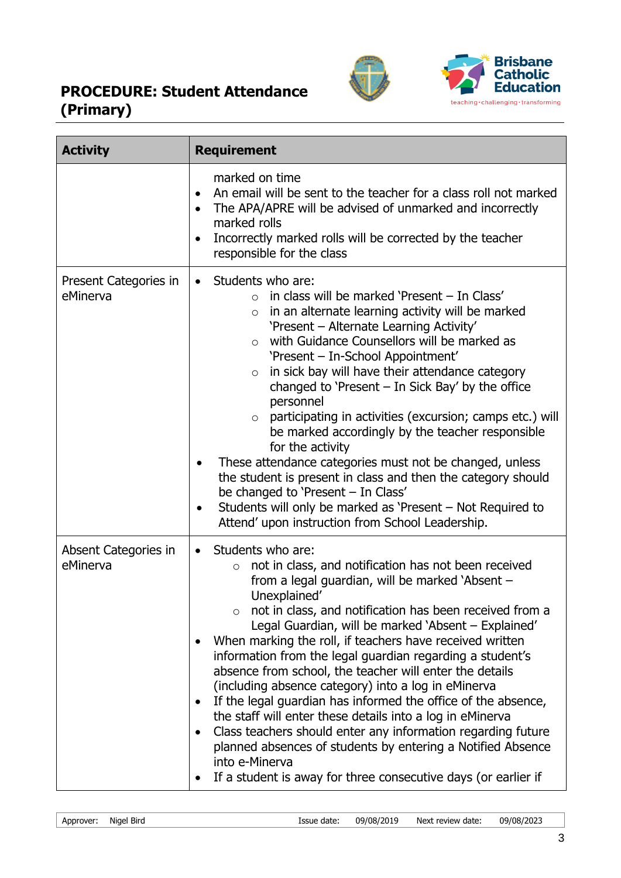# **PROCEDURE: Student Attendance (Primary)**





| <b>Activity</b>                   | <b>Requirement</b>                                                                                                                                                                                                                                                                                                                                                                                                                                                                                                                                                                                                                                                                                                                                                                                                                                                                 |
|-----------------------------------|------------------------------------------------------------------------------------------------------------------------------------------------------------------------------------------------------------------------------------------------------------------------------------------------------------------------------------------------------------------------------------------------------------------------------------------------------------------------------------------------------------------------------------------------------------------------------------------------------------------------------------------------------------------------------------------------------------------------------------------------------------------------------------------------------------------------------------------------------------------------------------|
|                                   | marked on time<br>An email will be sent to the teacher for a class roll not marked<br>$\bullet$<br>The APA/APRE will be advised of unmarked and incorrectly<br>marked rolls<br>Incorrectly marked rolls will be corrected by the teacher<br>$\bullet$<br>responsible for the class                                                                                                                                                                                                                                                                                                                                                                                                                                                                                                                                                                                                 |
| Present Categories in<br>eMinerva | Students who are:<br>$\bullet$<br>in class will be marked 'Present - In Class'<br>$\bigcap$<br>in an alternate learning activity will be marked<br>$\circ$<br>'Present - Alternate Learning Activity'<br>with Guidance Counsellors will be marked as<br>$\circ$<br>'Present - In-School Appointment'<br>in sick bay will have their attendance category<br>$\circ$<br>changed to 'Present $-$ In Sick Bay' by the office<br>personnel<br>participating in activities (excursion; camps etc.) will<br>$\circ$<br>be marked accordingly by the teacher responsible<br>for the activity<br>These attendance categories must not be changed, unless<br>the student is present in class and then the category should<br>be changed to 'Present - In Class'<br>Students will only be marked as 'Present – Not Required to<br>٠<br>Attend' upon instruction from School Leadership.       |
| Absent Categories in<br>eMinerva  | Students who are:<br>$\bullet$<br>not in class, and notification has not been received<br>$\circ$<br>from a legal guardian, will be marked 'Absent -<br>Unexplained'<br>not in class, and notification has been received from a<br>Legal Guardian, will be marked 'Absent - Explained'<br>When marking the roll, if teachers have received written<br>information from the legal guardian regarding a student's<br>absence from school, the teacher will enter the details<br>(including absence category) into a log in eMinerva<br>If the legal guardian has informed the office of the absence,<br>the staff will enter these details into a log in eMinerva<br>Class teachers should enter any information regarding future<br>planned absences of students by entering a Notified Absence<br>into e-Minerva<br>If a student is away for three consecutive days (or earlier if |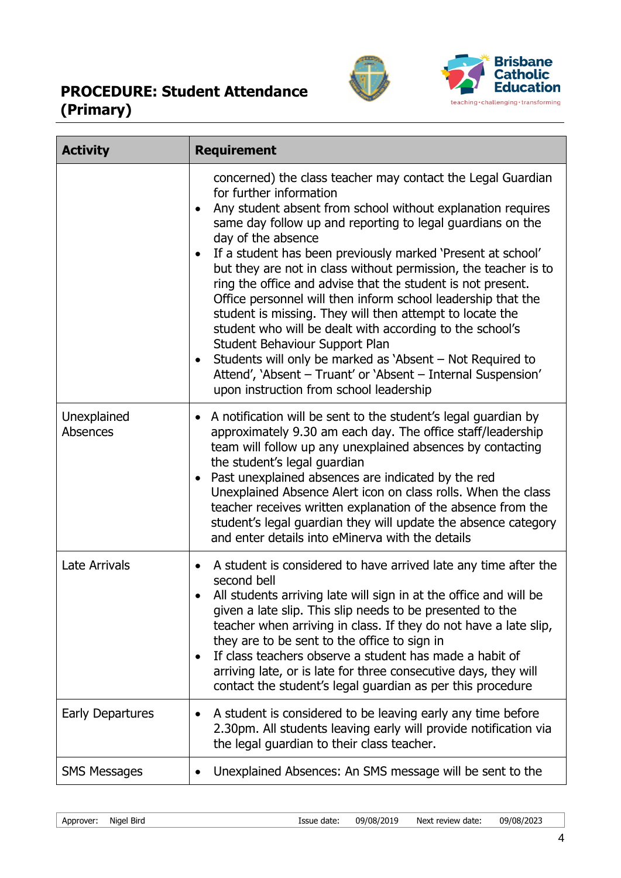# **PROCEDURE: Student Attendance (Primary)**





| <b>Activity</b>         | <b>Requirement</b>                                                                                                                                                                                                                                                                                                                                                                                                                                                                                                                                                                                                                                                                                                                                                                                                                                |
|-------------------------|---------------------------------------------------------------------------------------------------------------------------------------------------------------------------------------------------------------------------------------------------------------------------------------------------------------------------------------------------------------------------------------------------------------------------------------------------------------------------------------------------------------------------------------------------------------------------------------------------------------------------------------------------------------------------------------------------------------------------------------------------------------------------------------------------------------------------------------------------|
|                         | concerned) the class teacher may contact the Legal Guardian<br>for further information<br>Any student absent from school without explanation requires<br>same day follow up and reporting to legal guardians on the<br>day of the absence<br>If a student has been previously marked 'Present at school'<br>but they are not in class without permission, the teacher is to<br>ring the office and advise that the student is not present.<br>Office personnel will then inform school leadership that the<br>student is missing. They will then attempt to locate the<br>student who will be dealt with according to the school's<br>Student Behaviour Support Plan<br>Students will only be marked as 'Absent - Not Required to<br>٠<br>Attend', 'Absent - Truant' or 'Absent - Internal Suspension'<br>upon instruction from school leadership |
| Unexplained<br>Absences | A notification will be sent to the student's legal guardian by<br>٠<br>approximately 9.30 am each day. The office staff/leadership<br>team will follow up any unexplained absences by contacting<br>the student's legal guardian<br>Past unexplained absences are indicated by the red<br>$\bullet$<br>Unexplained Absence Alert icon on class rolls. When the class<br>teacher receives written explanation of the absence from the<br>student's legal guardian they will update the absence category<br>and enter details into eMinerva with the details                                                                                                                                                                                                                                                                                        |
| Late Arrivals           | A student is considered to have arrived late any time after the<br>٠<br>second bell<br>All students arriving late will sign in at the office and will be<br>given a late slip. This slip needs to be presented to the<br>teacher when arriving in class. If they do not have a late slip,<br>they are to be sent to the office to sign in<br>If class teachers observe a student has made a habit of<br>arriving late, or is late for three consecutive days, they will<br>contact the student's legal guardian as per this procedure                                                                                                                                                                                                                                                                                                             |
| Early Departures        | A student is considered to be leaving early any time before<br>2.30pm. All students leaving early will provide notification via<br>the legal guardian to their class teacher.                                                                                                                                                                                                                                                                                                                                                                                                                                                                                                                                                                                                                                                                     |
| <b>SMS Messages</b>     | Unexplained Absences: An SMS message will be sent to the                                                                                                                                                                                                                                                                                                                                                                                                                                                                                                                                                                                                                                                                                                                                                                                          |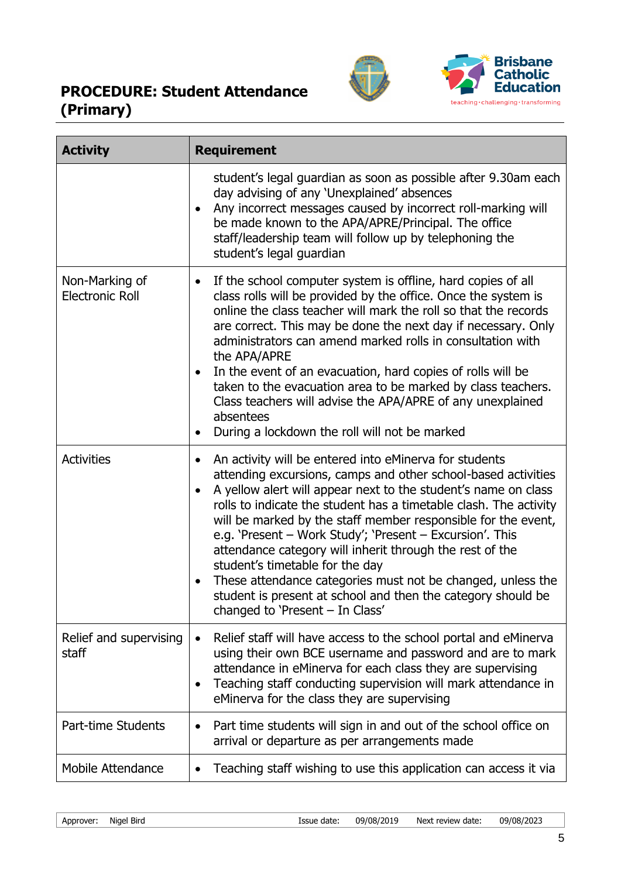# **PROCEDURE: Student Attendance (Primary)**





| <b>Activity</b>                          | <b>Requirement</b>                                                                                                                                                                                                                                                                                                                                                                                                                                                                                                                                                                                                                                                          |
|------------------------------------------|-----------------------------------------------------------------------------------------------------------------------------------------------------------------------------------------------------------------------------------------------------------------------------------------------------------------------------------------------------------------------------------------------------------------------------------------------------------------------------------------------------------------------------------------------------------------------------------------------------------------------------------------------------------------------------|
|                                          | student's legal guardian as soon as possible after 9.30am each<br>day advising of any 'Unexplained' absences<br>Any incorrect messages caused by incorrect roll-marking will<br>be made known to the APA/APRE/Principal. The office<br>staff/leadership team will follow up by telephoning the<br>student's legal guardian                                                                                                                                                                                                                                                                                                                                                  |
| Non-Marking of<br><b>Electronic Roll</b> | If the school computer system is offline, hard copies of all<br>$\bullet$<br>class rolls will be provided by the office. Once the system is<br>online the class teacher will mark the roll so that the records<br>are correct. This may be done the next day if necessary. Only<br>administrators can amend marked rolls in consultation with<br>the APA/APRE<br>In the event of an evacuation, hard copies of rolls will be<br>taken to the evacuation area to be marked by class teachers.<br>Class teachers will advise the APA/APRE of any unexplained<br>absentees<br>During a lockdown the roll will not be marked<br>$\bullet$                                       |
| <b>Activities</b>                        | An activity will be entered into eMinerva for students<br>$\bullet$<br>attending excursions, camps and other school-based activities<br>A yellow alert will appear next to the student's name on class<br>rolls to indicate the student has a timetable clash. The activity<br>will be marked by the staff member responsible for the event,<br>e.g. 'Present - Work Study'; 'Present - Excursion'. This<br>attendance category will inherit through the rest of the<br>student's timetable for the day<br>These attendance categories must not be changed, unless the<br>student is present at school and then the category should be<br>changed to 'Present $-$ In Class' |
| Relief and supervising<br>staff          | Relief staff will have access to the school portal and eMinerva<br>$\bullet$<br>using their own BCE username and password and are to mark<br>attendance in eMinerva for each class they are supervising<br>Teaching staff conducting supervision will mark attendance in<br>$\bullet$<br>eMinerva for the class they are supervising                                                                                                                                                                                                                                                                                                                                        |
| <b>Part-time Students</b>                | Part time students will sign in and out of the school office on<br>$\bullet$<br>arrival or departure as per arrangements made                                                                                                                                                                                                                                                                                                                                                                                                                                                                                                                                               |
| <b>Mobile Attendance</b>                 | Teaching staff wishing to use this application can access it via                                                                                                                                                                                                                                                                                                                                                                                                                                                                                                                                                                                                            |